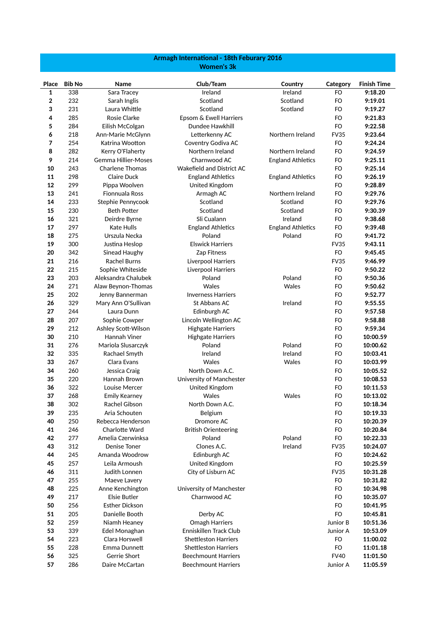## **Armagh International - 18th Feburary 2016 Women's 3k**

| Place    | <b>Bib No</b> | Name                                | Club/Team                      | Country                  | Category        | <b>Finish Time</b>   |
|----------|---------------|-------------------------------------|--------------------------------|--------------------------|-----------------|----------------------|
| 1        | 338           | Sara Tracey                         | Ireland                        | Ireland                  | FO              | 9:18.20              |
| 2        | 232           | Sarah Inglis                        | Scotland                       | Scotland                 | FO              | 9:19.01              |
| 3        | 231           | Laura Whittle                       | Scotland                       | Scotland                 | <b>FO</b>       | 9:19.27              |
| 4        | 285           | Rosie Clarke                        | Epsom & Ewell Harriers         |                          | <b>FO</b>       | 9:21.83              |
| 5        | 284           | Eilish McColgan                     | Dundee Hawkhill                |                          | FO              | 9:22.58              |
| 6        | 218           | Ann-Marie McGlynn                   | Letterkenny AC                 | Northern Ireland         | <b>FV35</b>     | 9:23.64              |
| 7        | 254           | Katrina Wootton                     | Coventry Godiva AC             |                          | FO              | 9:24.24              |
| 8        | 282           | Kerry O'Flaherty                    | Northern Ireland               | Northern Ireland         | FO              | 9:24.59              |
| 9        | 214           | Gemma Hillier-Moses                 | Charnwood AC                   | <b>England Athletics</b> | FO              | 9:25.11              |
| 10       | 243           | <b>Charlene Thomas</b>              | Wakefield and District AC      |                          | FO              | 9:25.14              |
| 11       | 298           | Claire Duck                         | <b>England Athletics</b>       | <b>England Athletics</b> | FO              | 9:26.19              |
| 12       | 299           | Pippa Woolven                       | United Kingdom                 |                          | <b>FO</b>       | 9:28.89              |
| 13       | 241           | <b>Fionnuala Ross</b>               | Armagh AC                      | Northern Ireland         | <b>FO</b>       | 9:29.76              |
| 14       | 233           | Stephie Pennycook                   | Scotland                       | Scotland                 | <b>FO</b>       | 9:29.76              |
| 15       | 230           | <b>Beth Potter</b>                  | Scotland                       | Scotland                 | FO              | 9:30.39              |
| 16       | 321           | Deirdre Byrne                       | Sli Cualann                    | Ireland                  | FO              | 9:38.68              |
| 17       | 297           | <b>Kate Hulls</b>                   | <b>England Athletics</b>       | <b>England Athletics</b> | FO              | 9:39.48              |
| 18       | 275           | Urszula Necka                       | Poland                         | Poland                   | <b>FO</b>       | 9:41.72              |
| 19       | 300           | Justina Heslop                      | <b>Elswick Harriers</b>        |                          | <b>FV35</b>     | 9:43.11              |
| 20       | 342           | Sinead Haughy                       | Zap Fitness                    |                          | FO              | 9:45.45              |
| 21       | 216           | <b>Rachel Burns</b>                 | Liverpool Harriers             |                          | <b>FV35</b>     | 9:46.99              |
| 22       | 215           | Sophie Whiteside                    | Liverpool Harriers             |                          | <b>FO</b>       | 9:50.22              |
| 23       | 203           | Aleksandra Chalubek                 | Poland                         | Poland                   | <b>FO</b>       | 9:50.36              |
| 24       | 271           | Alaw Beynon-Thomas                  | Wales                          | Wales                    | FO              | 9:50.62              |
| 25       | 202           | Jenny Bannerman                     | <b>Inverness Harriers</b>      |                          | FO              | 9:52.77              |
| 26       | 329           | Mary Ann O'Sullivan                 | St Abbans AC                   | Ireland                  | FO              | 9:55.55              |
| 27       | 244           | Laura Dunn                          | Edinburgh AC                   |                          | FO              | 9:57.58              |
| 28       | 207           | Sophie Cowper                       | Lincoln Wellington AC          |                          | FO              | 9:58.88              |
| 29       | 212           | Ashley Scott-Wilson                 | <b>Highgate Harriers</b>       |                          | FO              | 9:59.34              |
| 30       | 210           | Hannah Viner                        | <b>Highgate Harriers</b>       |                          | <b>FO</b>       | 10:00.59             |
| 31       | 276           | Mariola Slusarczyk                  | Poland                         | Poland                   | <b>FO</b>       | 10:00.62             |
| 32       | 335           | Rachael Smyth                       | Ireland                        | Ireland                  | FO              | 10:03.41             |
| 33       | 267           | Clara Evans                         | Wales                          | Wales                    | FO              | 10:03.99             |
| 34       | 260           | Jessica Craig                       | North Down A.C.                |                          | FO              | 10:05.52             |
| 35       | 220           | Hannah Brown                        | University of Manchester       |                          | FO              | 10:08.53             |
| 36       | 322           | Louise Mercer                       | United Kingdom                 |                          | <b>FO</b>       | 10:11.53             |
| 37       | 268           | <b>Emily Kearney</b>                | Wales                          | Wales                    | FO              | 10:13.02             |
| 38       | 302           | Rachel Gibson                       | North Down A.C.                |                          | FO              | 10:18.34             |
| 39       | 235           | Aria Schouten                       | Belgium                        |                          | FO              | 10:19.33             |
| 40       | 250           | Rebecca Henderson                   | Dromore AC                     |                          | FO              | 10:20.39             |
| 41       | 246           | Charlotte Ward<br>Amelia Czerwinksa | <b>British Orienteering</b>    | Poland                   | FO              | 10:20.84             |
| 42       | 277           | Denise Toner                        | Poland<br>Clones A.C.          | Ireland                  | FO              | 10:22.33             |
| 43       | 312           | Amanda Woodrow                      |                                |                          | <b>FV35</b>     | 10:24.07<br>10:24.62 |
| 44<br>45 | 245<br>257    | Leila Armoush                       | Edinburgh AC<br>United Kingdom |                          | FO<br><b>FO</b> | 10:25.59             |
| 46       | 311           | Judith Lonnen                       | City of Lisburn AC             |                          | <b>FV35</b>     | 10:31.28             |
| 47       | 255           | Maeve Lavery                        |                                |                          | FO              | 10:31.82             |
| 48       | 225           | Anne Kenchington                    | University of Manchester       |                          | FO              | 10:34.98             |
| 49       | 217           | <b>Elsie Butler</b>                 | Charnwood AC                   |                          | FO              | 10:35.07             |
| 50       | 256           | <b>Esther Dickson</b>               |                                |                          | FO              | 10:41.95             |
| 51       | 205           | Danielle Booth                      | Derby AC                       |                          | FO              | 10:45.81             |
| 52       | 259           | Niamh Heaney                        | Omagh Harriers                 |                          | Junior B        | 10:51.36             |
| 53       | 339           | Edel Monaghan                       | Enniskillen Track Club         |                          | Junior A        | 10:53.09             |
| 54       | 223           | Clara Horswell                      | <b>Shettleston Harriers</b>    |                          | FO              | 11:00.02             |
| 55       | 228           | Emma Dunnett                        | <b>Shettleston Harriers</b>    |                          | FO              | 11:01.18             |
| 56       | 325           | Gerrie Short                        | <b>Beechmount Harriers</b>     |                          | <b>FV40</b>     | 11:01.50             |
| 57       | 286           | Daire McCartan                      | <b>Beechmount Harriers</b>     |                          | Junior A        | 11:05.59             |
|          |               |                                     |                                |                          |                 |                      |